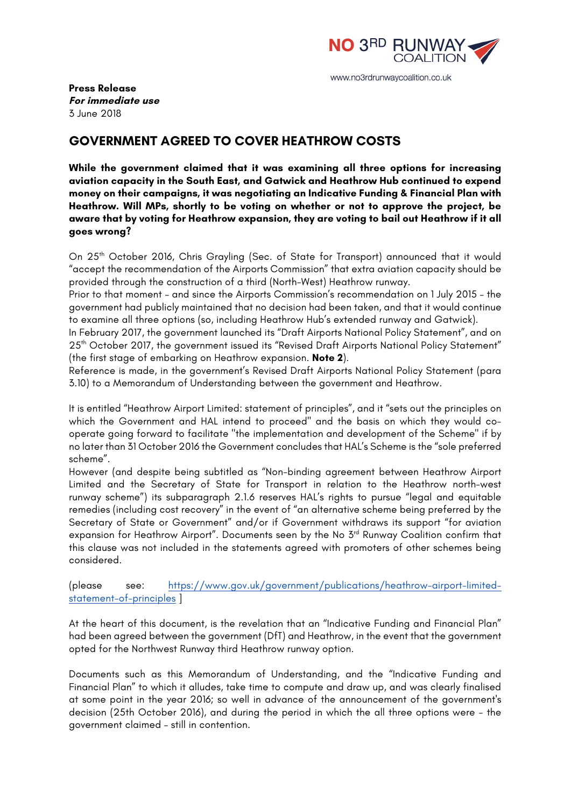

**Press Release For immediate use** 3 June 2018

## **GOVERNMENT AGREED TO COVER HEATHROW COSTS**

**While the government claimed that it was examining all three options for increasing aviation capacity in the South East, and Gatwick and Heathrow Hub continued to expend money on their campaigns, it was negotiating an Indicative Funding & Financial Plan with Heathrow. Will MPs, shortly to be voting on whether or not to approve the project, be aware that by voting for Heathrow expansion, they are voting to bail out Heathrow if it all goes wrong?**

On 25<sup>th</sup> October 2016, Chris Grayling (Sec. of State for Transport) announced that it would "accept the recommendation of the Airports Commission" that extra aviation capacity should be provided through the construction of a third (North-West) Heathrow runway.

Prior to that moment – and since the Airports Commission's recommendation on 1 July 2015 – the government had publicly maintained that no decision had been taken, and that it would continue to examine all three options (so, including Heathrow Hub's extended runway and Gatwick).

In February 2017, the government launched its "Draft Airports National Policy Statement", and on 25<sup>th</sup> October 2017, the government issued its "Revised Draft Airports National Policy Statement" (the first stage of embarking on Heathrow expansion. **Note 2**).

Reference is made, in the government's Revised Draft Airports National Policy Statement (para 3.10) to a Memorandum of Understanding between the government and Heathrow.

It is entitled "Heathrow Airport Limited: statement of principles", and it "sets out the principles on which the Government and HAL intend to proceed" and the basis on which they would cooperate going forward to facilitate "the implementation and development of the Scheme" if by no later than 31 October 2016 the Government concludes that HAL's Scheme is the "sole preferred scheme".

However (and despite being subtitled as "Non-binding agreement between Heathrow Airport Limited and the Secretary of State for Transport in relation to the Heathrow north-west runway scheme") its subparagraph 2.1.6 reserves HAL's rights to pursue "legal and equitable remedies (including cost recovery" in the event of "an alternative scheme being preferred by the Secretary of State or Government" and/or if Government withdraws its support "for aviation expansion for Heathrow Airport". Documents seen by the No 3<sup>rd</sup> Runway Coalition confirm that this clause was not included in the statements agreed with promoters of other schemes being considered.

(please see: https://www.gov.uk/government/publications/heathrow-airport-limitedstatement-of-principles ]

At the heart of this document, is the revelation that an "Indicative Funding and Financial Plan" had been agreed between the government (DfT) and Heathrow, in the event that the government opted for the Northwest Runway third Heathrow runway option.

Documents such as this Memorandum of Understanding, and the "Indicative Funding and Financial Plan" to which it alludes, take time to compute and draw up, and was clearly finalised at some point in the year 2016; so well in advance of the announcement of the government's decision (25th October 2016), and during the period in which the all three options were - the government claimed – still in contention.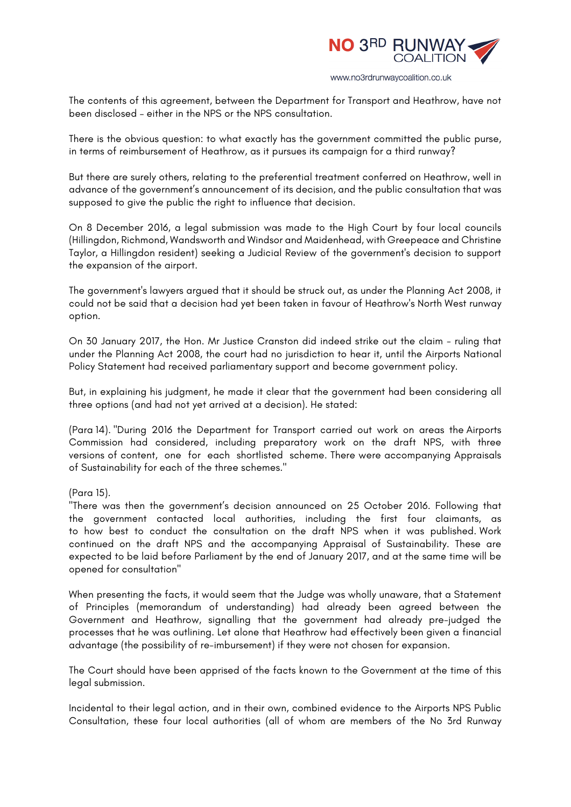

The contents of this agreement, between the Department for Transport and Heathrow, have not been disclosed – either in the NPS or the NPS consultation.

There is the obvious question: to what exactly has the government committed the public purse, in terms of reimbursement of Heathrow, as it pursues its campaign for a third runway?

But there are surely others, relating to the preferential treatment conferred on Heathrow, well in advance of the government's announcement of its decision, and the public consultation that was supposed to give the public the right to influence that decision.

On 8 December 2016, a legal submission was made to the High Court by four local councils (Hillingdon, Richmond, Wandsworth and Windsor and Maidenhead, with Greepeace and Christine Taylor, a Hillingdon resident) seeking a Judicial Review of the government's decision to support the expansion of the airport.

The government's lawyers argued that it should be struck out, as under the Planning Act 2008, it could not be said that a decision had yet been taken in favour of Heathrow's North West runway option.

On 30 January 2017, the Hon. Mr Justice Cranston did indeed strike out the claim - ruling that under the Planning Act 2008, the court had no jurisdiction to hear it, until the Airports National Policy Statement had received parliamentary support and become government policy.

But, in explaining his judgment, he made it clear that the government had been considering all three options (and had not yet arrived at a decision). He stated:

(Para 14). "During 2016 the Department for Transport carried out work on areas the Airports Commission had considered, including preparatory work on the draft NPS, with three versions of content, one for each shortlisted scheme. There were accompanying Appraisals of Sustainability for each of the three schemes."

(Para 15).

"There was then the government's decision announced on 25 October 2016. Following that the government contacted local authorities, including the first four claimants, as to how best to conduct the consultation on the draft NPS when it was published. Work continued on the draft NPS and the accompanying Appraisal of Sustainability. These are expected to be laid before Parliament by the end of January 2017, and at the same time will be opened for consultation"

When presenting the facts, it would seem that the Judge was wholly unaware, that a Statement of Principles (memorandum of understanding) had already been agreed between the Government and Heathrow, signalling that the government had already pre-judged the processes that he was outlining. Let alone that Heathrow had effectively been given a financial advantage (the possibility of re-imbursement) if they were not chosen for expansion.

The Court should have been apprised of the facts known to the Government at the time of this legal submission.

Incidental to their legal action, and in their own, combined evidence to the Airports NPS Public Consultation, these four local authorities (all of whom are members of the No 3rd Runway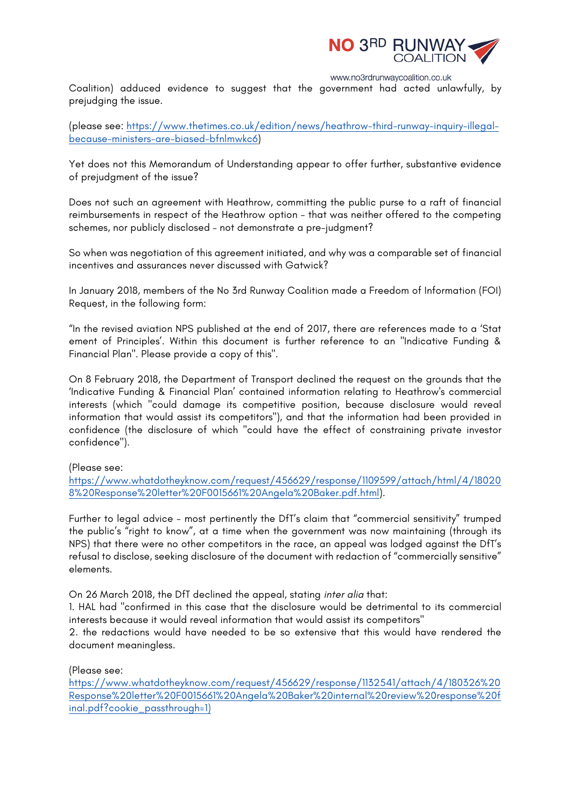

Coalition) adduced evidence to suggest that the government had acted unlawfully, by prejudging the issue.

(please see: https://www.thetimes.co.uk/edition/news/heathrow-third-runway-inquiry-illegalbecause-ministers-are-biased-bfnlmwkc6)

Yet does not this Memorandum of Understanding appear to offer further, substantive evidence of prejudgment of the issue?

Does not such an agreement with Heathrow, committing the public purse to a raft of financial reimbursements in respect of the Heathrow option - that was neither offered to the competing schemes, nor publicly disclosed – not demonstrate a pre-judgment?

So when was negotiation of this agreement initiated, and why was a comparable set of financial incentives and assurances never discussed with Gatwick?

In January 2018, members of the No 3rd Runway Coalition made a Freedom of Information (FOI) Request, in the following form:

"In the revised aviation NPS published at the end of 2017, there are references made to a 'Stat ement of Principles'. Within this document is further reference to an "Indicative Funding & Financial Plan". Please provide a copy of this".

On 8 February 2018, the Department of Transport declined the request on the grounds that the 'Indicative Funding & Financial Plan' contained information relating to Heathrow's commercial interests (which "could damage its competitive position, because disclosure would reveal information that would assist its competitors"), and that the information had been provided in confidence (the disclosure of which "could have the effect of constraining private investor confidence").

(Please see:

https://www.whatdotheyknow.com/request/456629/response/1109599/attach/html/4/18020 8%20Response%20letter%20F0015661%20Angela%20Baker.pdf.html).

Further to legal advice - most pertinently the DfT's claim that "commercial sensitivity" trumped the public's "right to know", at a time when the government was now maintaining (through its NPS) that there were no other competitors in the race, an appeal was lodged against the DfT's refusal to disclose, seeking disclosure of the document with redaction of "commercially sensitive" elements.

On 26 March 2018, the DfT declined the appeal, stating *inter alia* that:

1. HAL had "confirmed in this case that the disclosure would be detrimental to its commercial interests because it would reveal information that would assist its competitors"

2. the redactions would have needed to be so extensive that this would have rendered the document meaningless.

(Please see:

https://www.whatdotheyknow.com/request/456629/response/1132541/attach/4/180326%20 Response%20letter%20F0015661%20Angela%20Baker%20internal%20review%20response%20f inal.pdf?cookie\_passthrough=1)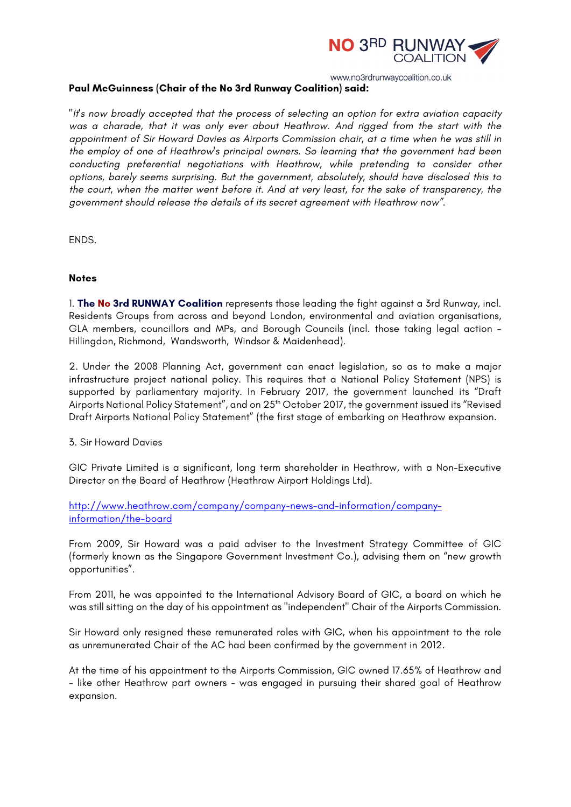

## **Paul McGuinness (Chair of the No 3rd Runway Coalition) said:**

*"It's now broadly accepted that the process of selecting an option for extra aviation capacity was a charade, that it was only ever about Heathrow. And rigged from the start with the appointment of Sir Howard Davies as Airports Commission chair, at a time when he was still in the employ of one of Heathrow's principal owners. So learning that the government had been conducting preferential negotiations with Heathrow, while pretending to consider other options, barely seems surprising. But the government, absolutely, should have disclosed this to the court, when the matter went before it. And at very least, for the sake of transparency, the government should release the details of its secret agreement with Heathrow now".*

ENDS.

## **Notes**

1. **The No 3rd RUNWAY Coalition** represents those leading the fight against a 3rd Runway, incl. Residents Groups from across and beyond London, environmental and aviation organisations, GLA members, councillors and MPs, and Borough Councils (incl. those taking legal action - Hillingdon, Richmond, Wandsworth, Windsor & Maidenhead).

2. Under the 2008 Planning Act, government can enact legislation, so as to make a major infrastructure project national policy. This requires that a National Policy Statement (NPS) is supported by parliamentary majority. In February 2017, the government launched its "Draft Airports National Policy Statement", and on 25<sup>th</sup> October 2017, the government issued its "Revised Draft Airports National Policy Statement" (the first stage of embarking on Heathrow expansion.

3. Sir Howard Davies

GIC Private Limited is a significant, long term shareholder in Heathrow, with a Non-Executive Director on the Board of Heathrow (Heathrow Airport Holdings Ltd).

http://www.heathrow.com/company/company-news-and-information/companyinformation/the-board

From 2009, Sir Howard was a paid adviser to the Investment Strategy Committee of GIC (formerly known as the Singapore Government Investment Co.), advising them on "new growth opportunities".

From 2011, he was appointed to the International Advisory Board of GIC, a board on which he was still sitting on the day of his appointment as "independent" Chair of the Airports Commission.

Sir Howard only resigned these remunerated roles with GIC, when his appointment to the role as unremunerated Chair of the AC had been confirmed by the government in 2012.

At the time of his appointment to the Airports Commission, GIC owned 17.65% of Heathrow and - like other Heathrow part owners - was engaged in pursuing their shared goal of Heathrow expansion.